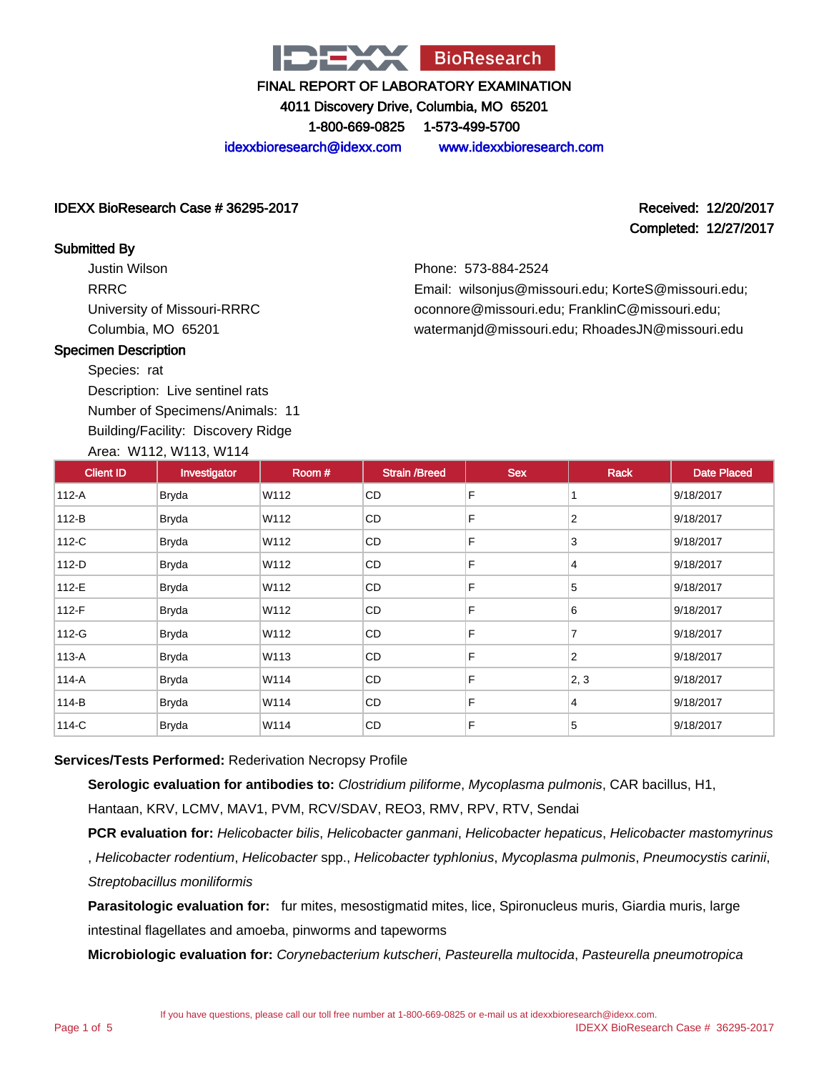

4011 Discovery Drive, Columbia, MO 65201

1-800-669-0825 1-573-499-5700

idexxbioresearch@idexx.com www.idexxbioresearch.com

#### IDEXX BioResearch Case # 36295-2017 Received: 12/20/2017

# Completed: 12/27/2017

Phone: 573-884-2524 Email: wilsonjus@missouri.edu; KorteS@missouri.edu; oconnore@missouri.edu; FranklinC@missouri.edu; watermanjd@missouri.edu; RhoadesJN@missouri.edu

#### Submitted By

Justin Wilson RRRC University of Missouri-RRRC Columbia, MO 65201

#### Specimen Description

Species: rat

Description: Live sentinel rats

Number of Specimens/Animals: 11 Building/Facility: Discovery Ridge

# Area: W112, W113, W114

| <b>Client ID</b> | $1.0041$ $1.141$ $1.11$ $1.01$ $1.11$<br>Investigator | Room # | <b>Strain /Breed</b> | <b>Sex</b> | Rack           | <b>Date Placed</b> |
|------------------|-------------------------------------------------------|--------|----------------------|------------|----------------|--------------------|
| 112-A            | <b>Bryda</b>                                          | W112   | CD                   | F          |                | 9/18/2017          |
| $112-B$          | <b>Bryda</b>                                          | W112   | CD                   | F          | $\overline{2}$ | 9/18/2017          |
| 112-C            | <b>Bryda</b>                                          | W112   | CD                   | F          | 3              | 9/18/2017          |
| $112-D$          | <b>Bryda</b>                                          | W112   | CD                   | F          | 4              | 9/18/2017          |
| 112-E            | <b>Bryda</b>                                          | W112   | CD                   | F          | 5              | 9/18/2017          |
| 112-F            | <b>Bryda</b>                                          | W112   | CD                   | F          | 6              | 9/18/2017          |
| 112-G            | <b>Bryda</b>                                          | W112   | CD                   | F          | 7              | 9/18/2017          |
| 113-A            | <b>Bryda</b>                                          | W113   | CD                   | F          | $\overline{2}$ | 9/18/2017          |
| 114-A            | <b>Bryda</b>                                          | W114   | CD                   | F          | 2, 3           | 9/18/2017          |
| 114-B            | <b>Bryda</b>                                          | W114   | <b>CD</b>            | F          | 4              | 9/18/2017          |
| 114-C            | <b>Bryda</b>                                          | W114   | CD                   | F          | 5              | 9/18/2017          |

#### **Services/Tests Performed:** Rederivation Necropsy Profile

**Serologic evaluation for antibodies to:** Clostridium piliforme, Mycoplasma pulmonis, CAR bacillus, H1, Hantaan, KRV, LCMV, MAV1, PVM, RCV/SDAV, REO3, RMV, RPV, RTV, Sendai

PCR evaluation for: Helicobacter bilis, Helicobacter ganmani, Helicobacter hepaticus, Helicobacter mastomyrinus , Helicobacter rodentium, Helicobacter spp., Helicobacter typhlonius, Mycoplasma pulmonis, Pneumocystis carinii, Streptobacillus moniliformis

**Parasitologic evaluation for:** fur mites, mesostigmatid mites, lice, Spironucleus muris, Giardia muris, large intestinal flagellates and amoeba, pinworms and tapeworms

**Microbiologic evaluation for:** Corynebacterium kutscheri, Pasteurella multocida, Pasteurella pneumotropica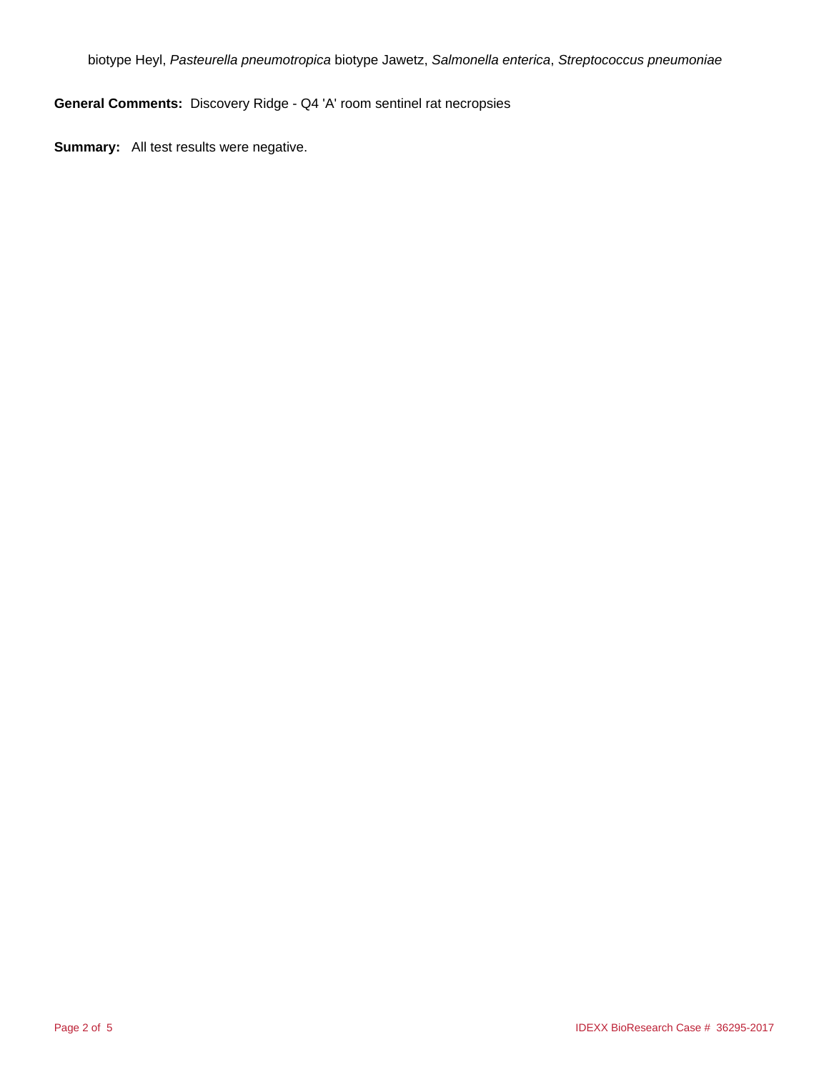biotype Heyl, Pasteurella pneumotropica biotype Jawetz, Salmonella enterica, Streptococcus pneumoniae

**General Comments:** Discovery Ridge - Q4 'A' room sentinel rat necropsies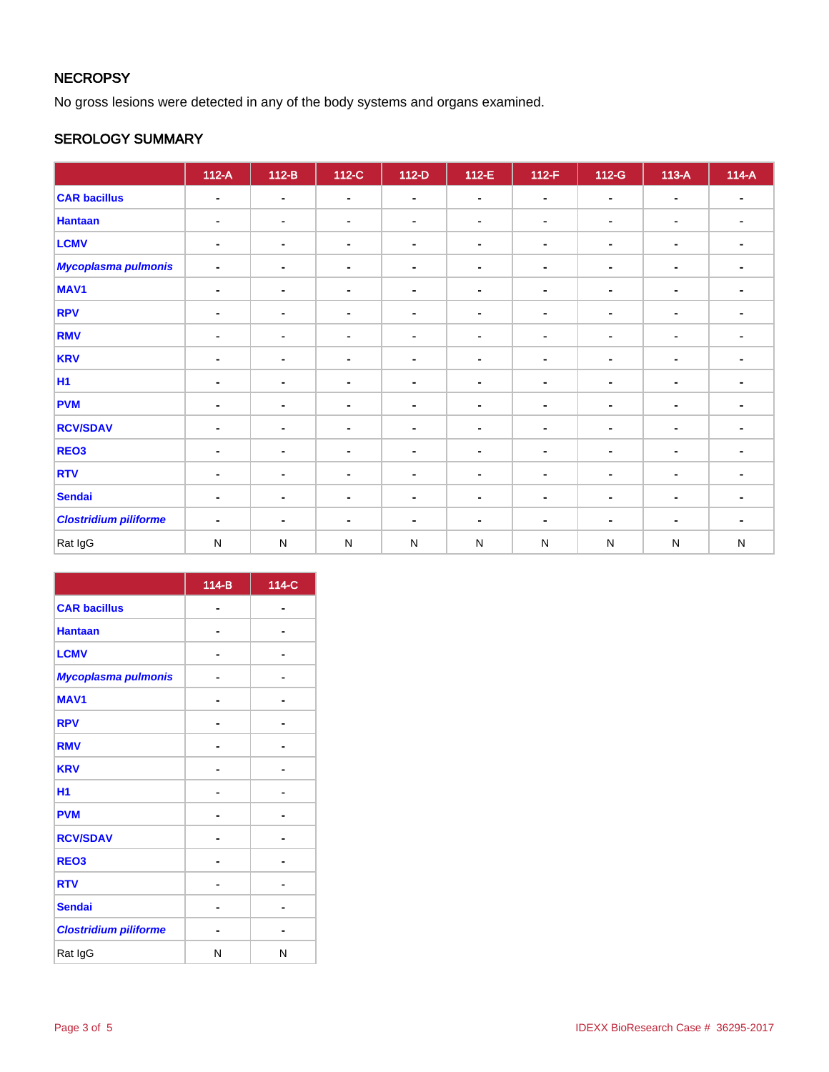# **NECROPSY**

No gross lesions were detected in any of the body systems and organs examined.

## SEROLOGY SUMMARY

|                              | $112-A$        | $112-B$        | 112-C          | $112-D$        | $112-E$        | $112-F$        | $112-G$        | $113-A$        | $114-A$                  |
|------------------------------|----------------|----------------|----------------|----------------|----------------|----------------|----------------|----------------|--------------------------|
| <b>CAR bacillus</b>          | $\blacksquare$ | $\blacksquare$ | $\blacksquare$ | $\blacksquare$ | $\blacksquare$ | $\blacksquare$ | $\sim$         | $\blacksquare$ | $\blacksquare$           |
| <b>Hantaan</b>               | $\blacksquare$ | ۰              | $\blacksquare$ | ۰              | $\blacksquare$ | ۰              | ۰              | $\blacksquare$ |                          |
| <b>LCMV</b>                  | $\blacksquare$ | $\blacksquare$ | $\blacksquare$ | $\blacksquare$ | $\blacksquare$ | $\blacksquare$ | $\blacksquare$ | $\blacksquare$ | $\blacksquare$           |
| <b>Mycoplasma pulmonis</b>   | $\blacksquare$ | $\blacksquare$ | $\blacksquare$ | $\blacksquare$ | $\blacksquare$ | $\blacksquare$ | $\blacksquare$ | $\blacksquare$ | $\blacksquare$           |
| MAV <sub>1</sub>             | $\blacksquare$ | $\blacksquare$ | $\blacksquare$ | $\blacksquare$ | $\blacksquare$ | $\blacksquare$ | $\blacksquare$ | $\blacksquare$ |                          |
| <b>RPV</b>                   | $\blacksquare$ | $\blacksquare$ | $\blacksquare$ | $\blacksquare$ | $\blacksquare$ | ۰              | $\blacksquare$ | $\blacksquare$ | $\blacksquare$           |
| <b>RMV</b>                   | $\blacksquare$ | $\blacksquare$ | $\blacksquare$ | $\blacksquare$ | $\blacksquare$ | $\blacksquare$ | $\blacksquare$ | $\blacksquare$ | $\blacksquare$           |
| <b>KRV</b>                   | $\blacksquare$ | $\blacksquare$ | $\blacksquare$ | $\blacksquare$ | $\blacksquare$ | $\blacksquare$ | ۰              | $\blacksquare$ |                          |
| <b>H1</b>                    | $\blacksquare$ | $\blacksquare$ | $\blacksquare$ | $\blacksquare$ | $\blacksquare$ | $\blacksquare$ | $\blacksquare$ | $\blacksquare$ | $\blacksquare$           |
| <b>PVM</b>                   | $\blacksquare$ | ٠              | $\sim$         | $\blacksquare$ | $\blacksquare$ | $\blacksquare$ | $\blacksquare$ | $\blacksquare$ |                          |
| <b>RCV/SDAV</b>              | $\blacksquare$ | $\blacksquare$ | $\blacksquare$ | $\blacksquare$ | $\blacksquare$ | $\blacksquare$ | $\blacksquare$ | $\blacksquare$ |                          |
| REO <sub>3</sub>             | $\blacksquare$ | $\sim$         | $\blacksquare$ | $\blacksquare$ | $\blacksquare$ | $\blacksquare$ | ۰              | $\blacksquare$ | $\blacksquare$           |
| <b>RTV</b>                   | $\blacksquare$ | $\blacksquare$ | $\blacksquare$ | $\blacksquare$ | $\blacksquare$ | $\blacksquare$ | ٠              | $\blacksquare$ |                          |
| <b>Sendai</b>                | $\blacksquare$ | $\sim$         | $\blacksquare$ | $\blacksquare$ | $\blacksquare$ | ٠              | $\blacksquare$ | $\blacksquare$ |                          |
| <b>Clostridium piliforme</b> | $\blacksquare$ | $\blacksquare$ | $\blacksquare$ | ۰              | $\blacksquare$ | ۰              | $\blacksquare$ | $\blacksquare$ | $\overline{\phantom{a}}$ |
| Rat IgG                      | ${\sf N}$      | $\mathsf{N}$   | ${\sf N}$      | $\mathsf{N}$   | ${\sf N}$      | ${\sf N}$      | ${\sf N}$      | ${\sf N}$      | ${\sf N}$                |

|                              | $114-B$ | 114-C |
|------------------------------|---------|-------|
| <b>CAR bacillus</b>          |         |       |
| <b>Hantaan</b>               |         |       |
| <b>LCMV</b>                  |         |       |
| Mycoplasma pulmonis          |         |       |
| <b>MAV1</b>                  |         |       |
| <b>RPV</b>                   |         |       |
| <b>RMV</b>                   |         |       |
| <b>KRV</b>                   |         |       |
| H1                           |         |       |
| <b>PVM</b>                   |         |       |
| <b>RCV/SDAV</b>              |         |       |
| REO <sub>3</sub>             |         |       |
| <b>RTV</b>                   |         |       |
| <b>Sendai</b>                |         |       |
| <b>Clostridium piliforme</b> |         |       |
| Rat IgG                      | N       | N     |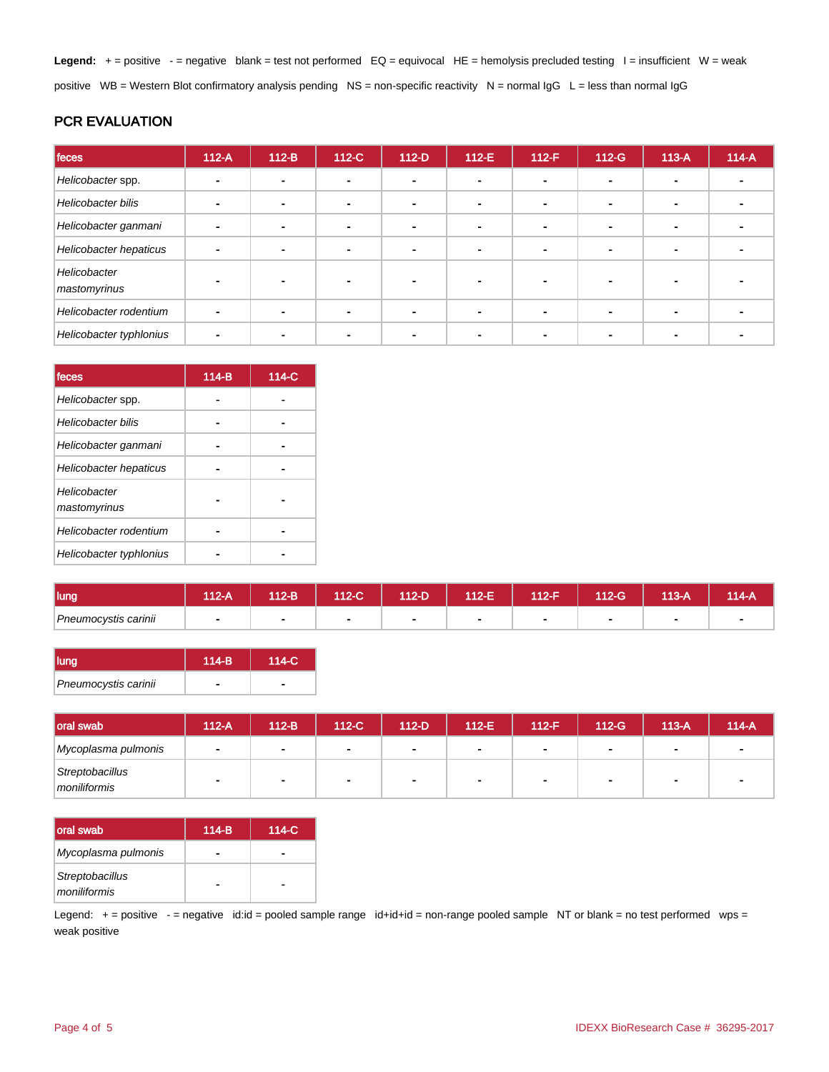Legend: + = positive - = negative blank = test not performed EQ = equivocal HE = hemolysis precluded testing l = insufficient W = weak positive WB = Western Blot confirmatory analysis pending NS = non-specific reactivity N = normal IgG L = less than normal IgG

## PCR EVALUATION

| feces                        | $112-A$ | $112-B$ | 112-C          | $112-D$        | $112-E$ | $112-F$                  | $112-G$ | $113-A$        | $114-A$ |
|------------------------------|---------|---------|----------------|----------------|---------|--------------------------|---------|----------------|---------|
| Helicobacter spp.            |         |         | -              |                |         |                          |         |                |         |
| Helicobacter bilis           |         |         | -              | ۰.             |         | $\overline{\phantom{a}}$ | ۰       | $\blacksquare$ |         |
| Helicobacter ganmani         |         |         | $\blacksquare$ | $\blacksquare$ |         |                          |         | $\blacksquare$ |         |
| Helicobacter hepaticus       |         |         |                | ۰              |         |                          |         |                |         |
| Helicobacter<br>mastomyrinus |         |         |                | -              |         |                          |         |                |         |
| Helicobacter rodentium       |         |         |                | $\blacksquare$ |         |                          |         | $\blacksquare$ |         |
| Helicobacter typhlonius      |         |         |                | -              |         |                          |         |                |         |

| feces                        | $114-B$ | 114-C |
|------------------------------|---------|-------|
| Helicobacter spp.            |         |       |
| <b>Helicobacter bilis</b>    |         |       |
| Helicobacter ganmani         |         |       |
| Helicobacter hepaticus       |         |       |
| Helicobacter<br>mastomyrinus |         |       |
| Helicobacter rodentium       |         |       |
| Helicobacter typhlonius      |         |       |

| <b>lung</b>          | $\sqrt{2}$ | $12-B$ | 112-C | 112-D | 112-E' | 112-F | $12-G$ | $13-A$ | 114-A |
|----------------------|------------|--------|-------|-------|--------|-------|--------|--------|-------|
| Pneumocystis carinii |            |        |       |       |        |       |        |        |       |

| lung                 | $114-B$ | $114-C$ |
|----------------------|---------|---------|
| Pneumocystis carinii |         |         |

| <b>loral swab</b>               | $112-A$        | 112-B          | $112-C$ | $112-D$                  | $112-E$        | $112-F$ | $112-G$        | $113-A$ | $114-A$ |
|---------------------------------|----------------|----------------|---------|--------------------------|----------------|---------|----------------|---------|---------|
| Mycoplasma pulmonis             | $\blacksquare$ | $\blacksquare$ | . .     | <b>1999</b>              | $\blacksquare$ |         | $\blacksquare$ |         |         |
| Streptobacillus<br>moniliformis |                | $\blacksquare$ |         | $\overline{\phantom{a}}$ |                |         | $\blacksquare$ |         |         |

| Ioral swab                      | $114-B$ | 114-C |
|---------------------------------|---------|-------|
| Mycoplasma pulmonis             | -       |       |
| Streptobacillus<br>moniliformis |         |       |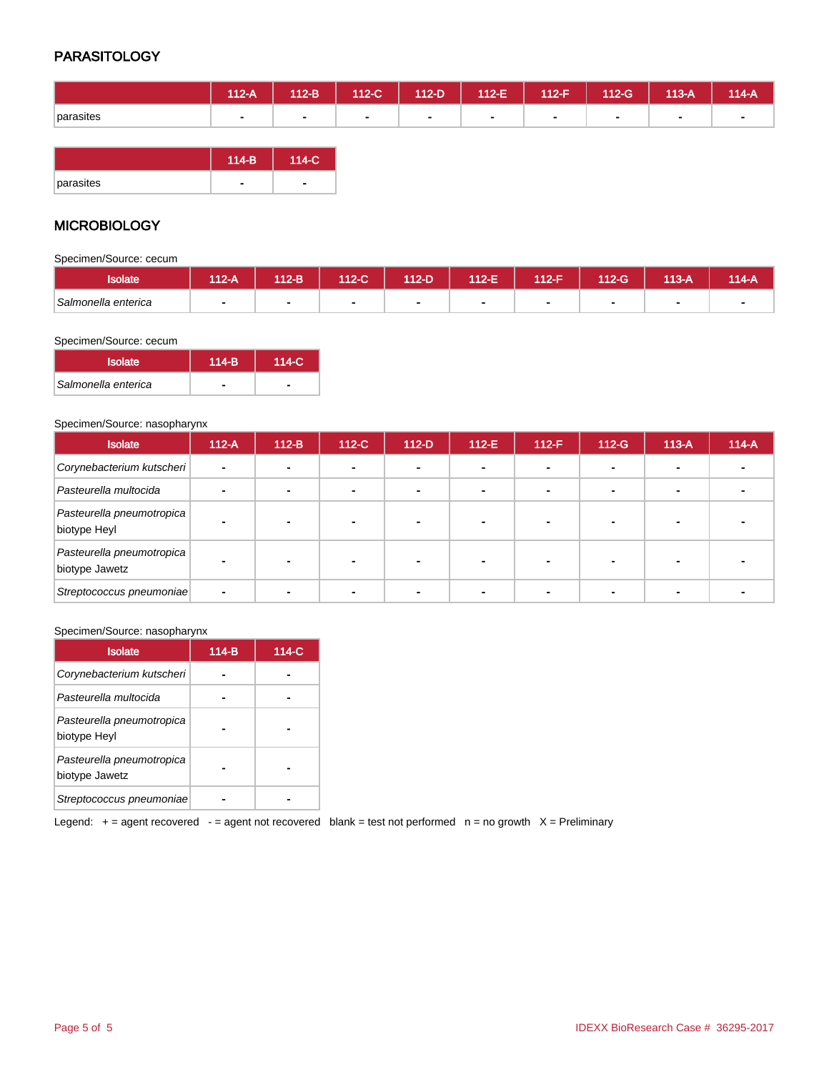## **PARASITOLOGY**

|           | 112-A | $112-B$ | $112-C$ | 112-D | $112-E$ | $112-F$ | $112-G$        | 113-A | 114-A          |
|-----------|-------|---------|---------|-------|---------|---------|----------------|-------|----------------|
| parasites | . .   | $\sim$  | $\sim$  |       | $\sim$  |         | $\blacksquare$ | ۰     | $\blacksquare$ |
|           |       |         |         |       |         |         |                |       |                |

|           | $114-B$ | $114-C$ |
|-----------|---------|---------|
| parasites |         |         |

## **MICROBIOLOGY**

Specimen/Source: cecum

| <b>Isolate</b>      | <b>M2-A</b> | $12-B$ | 112-C1 | 112-D | 112-F | 112-F | 112-G | $13-A$ | 14-A |
|---------------------|-------------|--------|--------|-------|-------|-------|-------|--------|------|
| Salmonella enterica |             | ٠      |        |       |       |       |       |        |      |

#### Specimen/Source: cecum

| <b>Isolate</b>      | $114-B$ | $114-C$ |
|---------------------|---------|---------|
| Salmonella enterica |         |         |

#### Specimen/Source: nasopharynx

| <b>Isolate</b>                              | $112-A$ | $112-B$                  | $112-C$                  | $112-D$ | $112-E$                  | $112-F$        | $112-G$ | $113-A$ | $114-A$ |
|---------------------------------------------|---------|--------------------------|--------------------------|---------|--------------------------|----------------|---------|---------|---------|
| Corynebacterium kutscheri                   |         | $\overline{\phantom{0}}$ | $\overline{\phantom{a}}$ |         | -                        | -              |         |         |         |
| Pasteurella multocida                       |         |                          | $\blacksquare$           |         | $\overline{\phantom{0}}$ | $\blacksquare$ |         |         |         |
| Pasteurella pneumotropica<br>biotype Heyl   |         |                          |                          |         |                          |                |         |         |         |
| Pasteurella pneumotropica<br>biotype Jawetz |         | $\overline{\phantom{0}}$ |                          |         |                          |                |         |         |         |
| Streptococcus pneumoniae                    |         |                          |                          |         |                          |                |         |         |         |

#### Specimen/Source: nasopharynx

| <b>Isolate</b>                              | $114-B$ | 114-C |
|---------------------------------------------|---------|-------|
| Corynebacterium kutscheri                   |         |       |
| Pasteurella multocida                       |         |       |
| Pasteurella pneumotropica<br>biotype Heyl   |         |       |
| Pasteurella pneumotropica<br>biotype Jawetz |         |       |
| Streptococcus pneumoniae                    |         |       |

Legend:  $+$  = agent recovered  $-$  = agent not recovered blank = test not performed  $n =$  no growth  $X =$  Preliminary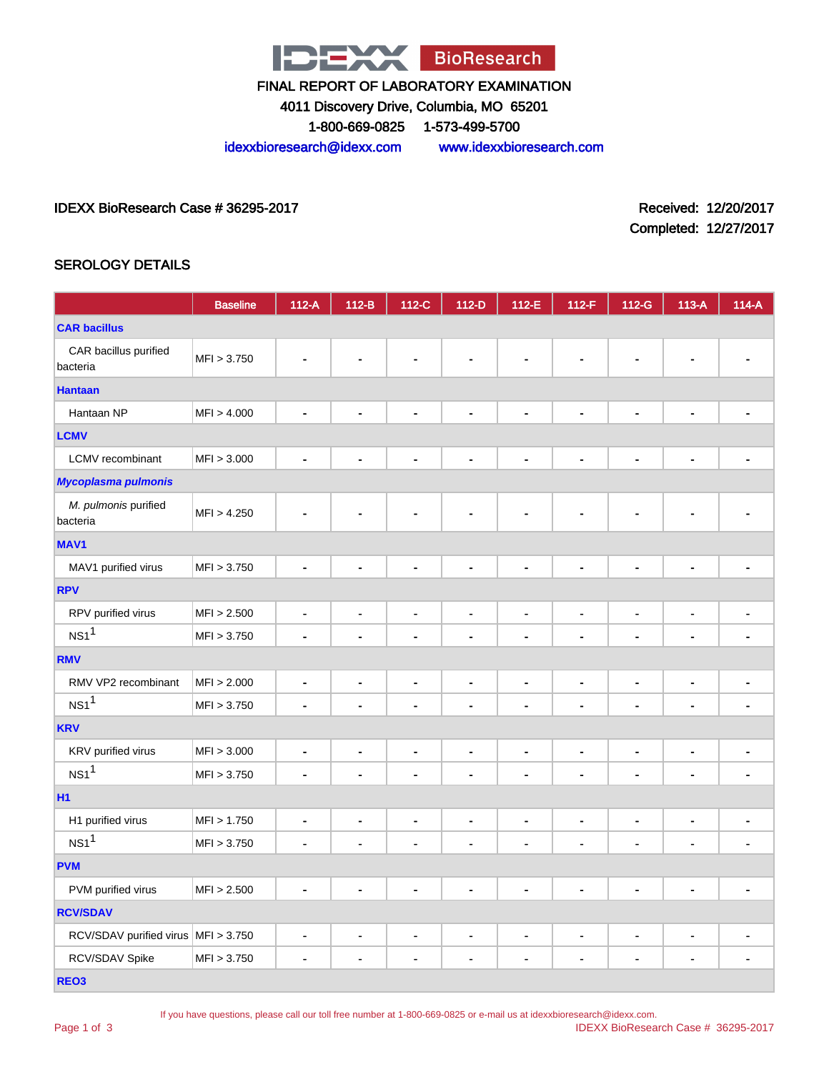

4011 Discovery Drive, Columbia, MO 65201

1-800-669-0825 1-573-499-5700

idexxbioresearch@idexx.com www.idexxbioresearch.com

IDEXX BioResearch Case # 36295-2017 Received: 12/20/2017

Completed: 12/27/2017

## SEROLOGY DETAILS

|                                     | <b>Baseline</b> | $112-A$                      | $112-B$                  | 112-C                        | $112-D$                      | 112-E                        | 112-F          | 112-G                        | $113-A$                      | $114-A$                      |
|-------------------------------------|-----------------|------------------------------|--------------------------|------------------------------|------------------------------|------------------------------|----------------|------------------------------|------------------------------|------------------------------|
| <b>CAR bacillus</b>                 |                 |                              |                          |                              |                              |                              |                |                              |                              |                              |
| CAR bacillus purified<br>bacteria   | MFI > 3.750     |                              |                          |                              |                              |                              |                |                              |                              |                              |
| <b>Hantaan</b>                      |                 |                              |                          |                              |                              |                              |                |                              |                              |                              |
| Hantaan NP                          | MFI > 4.000     | $\blacksquare$               |                          | $\blacksquare$               | $\blacksquare$               | $\blacksquare$               | $\blacksquare$ | $\blacksquare$               | $\blacksquare$               |                              |
| <b>LCMV</b>                         |                 |                              |                          |                              |                              |                              |                |                              |                              |                              |
| LCMV recombinant                    | MFI > 3.000     | $\blacksquare$               | $\blacksquare$           | ÷                            | $\blacksquare$               | ä,                           | $\blacksquare$ | $\blacksquare$               | $\blacksquare$               |                              |
| <b>Mycoplasma pulmonis</b>          |                 |                              |                          |                              |                              |                              |                |                              |                              |                              |
| M. pulmonis purified<br>bacteria    | MFI > 4.250     |                              |                          |                              |                              |                              |                |                              |                              |                              |
| <b>MAV1</b>                         |                 |                              |                          |                              |                              |                              |                |                              |                              |                              |
| MAV1 purified virus                 | MFI > 3.750     | ٠                            |                          |                              | $\blacksquare$               | $\blacksquare$               | $\blacksquare$ |                              | ÷,                           |                              |
| <b>RPV</b>                          |                 |                              |                          |                              |                              |                              |                |                              |                              |                              |
| RPV purified virus                  | MFI > 2.500     | $\qquad \qquad \blacksquare$ | $\blacksquare$           | $\qquad \qquad \blacksquare$ | $\qquad \qquad \blacksquare$ | $\blacksquare$               | $\blacksquare$ | -                            | $\qquad \qquad \blacksquare$ | $\qquad \qquad \blacksquare$ |
| NS1 <sup>1</sup>                    | MFI > 3.750     |                              |                          | ٠                            | $\blacksquare$               | $\blacksquare$               | $\blacksquare$ | $\blacksquare$               | ۰                            |                              |
| <b>RMV</b>                          |                 |                              |                          |                              |                              |                              |                |                              |                              |                              |
| RMV VP2 recombinant                 | MFI > 2.000     | $\blacksquare$               | $\blacksquare$           | $\blacksquare$               | $\blacksquare$               | $\blacksquare$               | $\blacksquare$ | $\blacksquare$               | $\blacksquare$               |                              |
| NS1 <sup>1</sup>                    | MFI > 3.750     | $\blacksquare$               | $\blacksquare$           | $\blacksquare$               | ٠                            | $\blacksquare$               | $\blacksquare$ | $\blacksquare$               | $\blacksquare$               | $\blacksquare$               |
| <b>KRV</b>                          |                 |                              |                          |                              |                              |                              |                |                              |                              |                              |
| KRV purified virus                  | MFI > 3.000     | $\qquad \qquad \blacksquare$ | $\overline{\phantom{a}}$ | $\qquad \qquad \blacksquare$ | $\qquad \qquad \blacksquare$ | $\blacksquare$               | $\blacksquare$ | $\blacksquare$               | $\qquad \qquad \blacksquare$ | $\qquad \qquad \blacksquare$ |
| NS1 <sup>1</sup>                    | MFI > 3.750     | ٠                            |                          | ä,                           | $\blacksquare$               | $\blacksquare$               | $\blacksquare$ | $\blacksquare$               | ٠                            |                              |
| <b>H1</b>                           |                 |                              |                          |                              |                              |                              |                |                              |                              |                              |
| H1 purified virus                   | MFI > 1.750     | $\frac{1}{2}$                | $\overline{\phantom{0}}$ | $\qquad \qquad \blacksquare$ | $\qquad \qquad \blacksquare$ | $\blacksquare$               | $\blacksquare$ | -                            | $\qquad \qquad \blacksquare$ | -                            |
| NS1 <sup>1</sup>                    | MFI > 3.750     | $\blacksquare$               |                          | ä,                           | $\blacksquare$               | $\blacksquare$               | ä,             | ÷                            | ă,                           | ÷                            |
| <b>PVM</b>                          |                 |                              |                          |                              |                              |                              |                |                              |                              |                              |
| PVM purified virus                  | MFI > 2.500     | $\blacksquare$               | $\blacksquare$           | $\blacksquare$               | $\blacksquare$               | $\blacksquare$               | $\blacksquare$ | $\qquad \qquad \blacksquare$ | $\blacksquare$               | $\blacksquare$               |
| <b>RCV/SDAV</b>                     |                 |                              |                          |                              |                              |                              |                |                              |                              |                              |
| RCV/SDAV purified virus MFI > 3.750 |                 | ٠                            | ٠                        | -                            | $\blacksquare$               | $\qquad \qquad \blacksquare$ | $\blacksquare$ | $\qquad \qquad \blacksquare$ | $\blacksquare$               | ٠                            |
| RCV/SDAV Spike                      | MFI > 3.750     | $\blacksquare$               |                          | $\blacksquare$               | $\blacksquare$               | $\blacksquare$               | $\blacksquare$ | $\qquad \qquad \blacksquare$ | $\blacksquare$               | $\qquad \qquad \blacksquare$ |
| REO <sub>3</sub>                    |                 |                              |                          |                              |                              |                              |                |                              |                              |                              |

Page 1 of 3

If you have questions, please call our toll free number at 1-800-669-0825 or e-mail us at idexxbioresearch@idexx.com.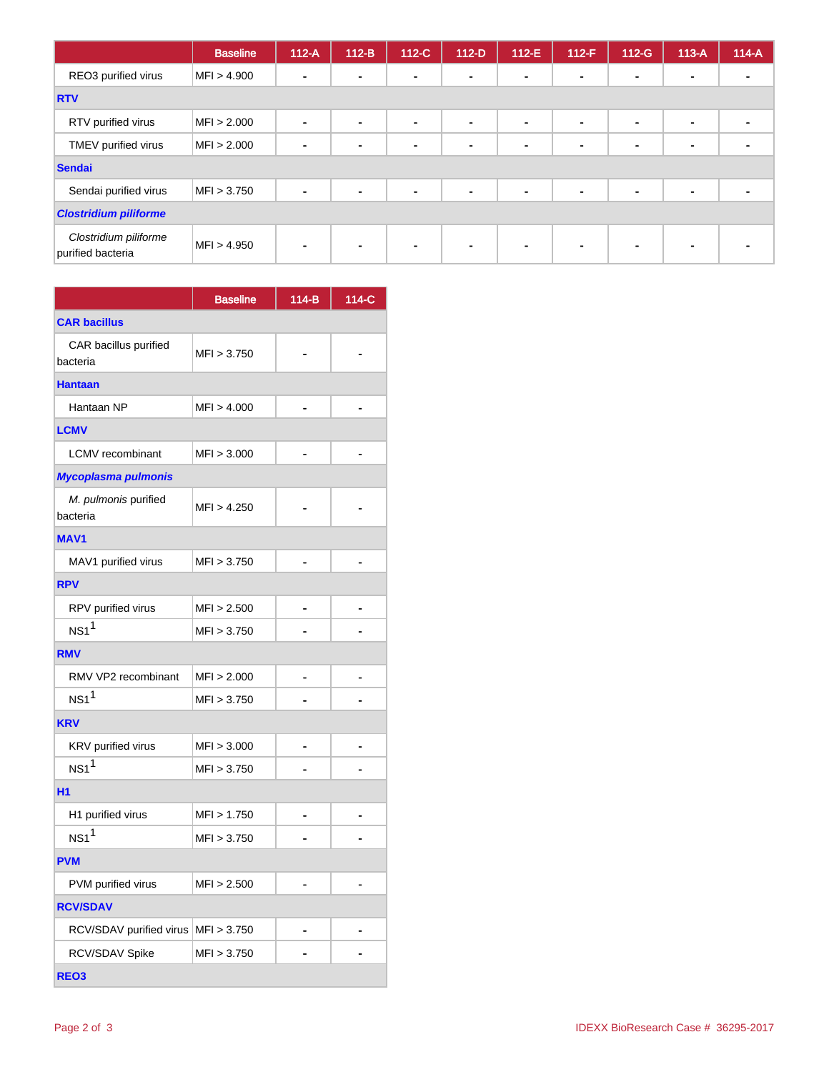|                                            | <b>Baseline</b> | $112-A$        | $112-B$ | 112-C          | $112-D$        | $112-E$        | $112-F$        | $112-G$        | $113-A$        | $114-A$ |
|--------------------------------------------|-----------------|----------------|---------|----------------|----------------|----------------|----------------|----------------|----------------|---------|
| REO3 purified virus                        | MFI > 4.900     | $\blacksquare$ | $\sim$  | $\blacksquare$ | $\blacksquare$ | $\blacksquare$ | $\sim$         | $\blacksquare$ | $\blacksquare$ |         |
| <b>RTV</b>                                 |                 |                |         |                |                |                |                |                |                |         |
| RTV purified virus                         | MFI > 2.000     | $\blacksquare$ |         | $\blacksquare$ | $\blacksquare$ | $\blacksquare$ | $\blacksquare$ | $\blacksquare$ | $\blacksquare$ |         |
| TMEV purified virus                        | MFI > 2.000     |                |         | ۰              | $\sim$         | $\blacksquare$ | $\blacksquare$ | $\blacksquare$ | $\blacksquare$ |         |
| Sendai                                     |                 |                |         |                |                |                |                |                |                |         |
| Sendai purified virus                      | MFI > 3.750     |                |         | $\blacksquare$ | $\blacksquare$ | $\blacksquare$ | $\blacksquare$ | $\blacksquare$ | ٠              |         |
| <b>Clostridium piliforme</b>               |                 |                |         |                |                |                |                |                |                |         |
| Clostridium piliforme<br>purified bacteria | MFI > 4.950     |                |         | $\blacksquare$ | $\blacksquare$ | $\blacksquare$ | $\blacksquare$ | ۰              | ۰              |         |

|                                   | <b>Baseline</b> | $114-B$ | 114-C |  |  |  |
|-----------------------------------|-----------------|---------|-------|--|--|--|
| <b>CAR bacillus</b>               |                 |         |       |  |  |  |
| CAR bacillus purified<br>bacteria | MFI > 3.750     |         |       |  |  |  |
| <b>Hantaan</b>                    |                 |         |       |  |  |  |
| Hantaan NP                        | MFI > 4.000     |         |       |  |  |  |
| <b>LCMV</b>                       |                 |         |       |  |  |  |
| <b>LCMV</b> recombinant           | MFI > 3.000     |         |       |  |  |  |
| Mycoplasma pulmonis               |                 |         |       |  |  |  |
| M. pulmonis purified<br>bacteria  | MFI > 4.250     |         |       |  |  |  |
| <b>MAV1</b>                       |                 |         |       |  |  |  |
| MAV1 purified virus               | MFI > 3.750     |         |       |  |  |  |
| <b>RPV</b>                        |                 |         |       |  |  |  |
| RPV purified virus                | MFI > 2.500     |         |       |  |  |  |
| $NS1$ <sup>1</sup>                | MFI > 3.750     |         |       |  |  |  |
| <b>RMV</b>                        |                 |         |       |  |  |  |
| RMV VP2 recombinant               | MFI > 2.000     |         |       |  |  |  |
| NS1 <sup>1</sup>                  | MFI > 3.750     |         |       |  |  |  |
| <b>KRV</b>                        |                 |         |       |  |  |  |
| KRV purified virus                | MFI > 3.000     |         |       |  |  |  |
| NS1 <sup>1</sup>                  | MFI > 3.750     |         |       |  |  |  |
| H1                                |                 |         |       |  |  |  |
| H1 purified virus                 | MFI > 1.750     |         |       |  |  |  |
| $NS1$ <sup>1</sup>                | MFI > 3.750     |         |       |  |  |  |
| <b>PVM</b>                        |                 |         |       |  |  |  |
| PVM purified virus                | MFI > 2.500     |         |       |  |  |  |
| <b>RCV/SDAV</b>                   |                 |         |       |  |  |  |
| RCV/SDAV purified virus           | MFI > 3.750     |         |       |  |  |  |
| RCV/SDAV Spike                    | MFI > 3.750     |         |       |  |  |  |
| REO <sub>3</sub>                  |                 |         |       |  |  |  |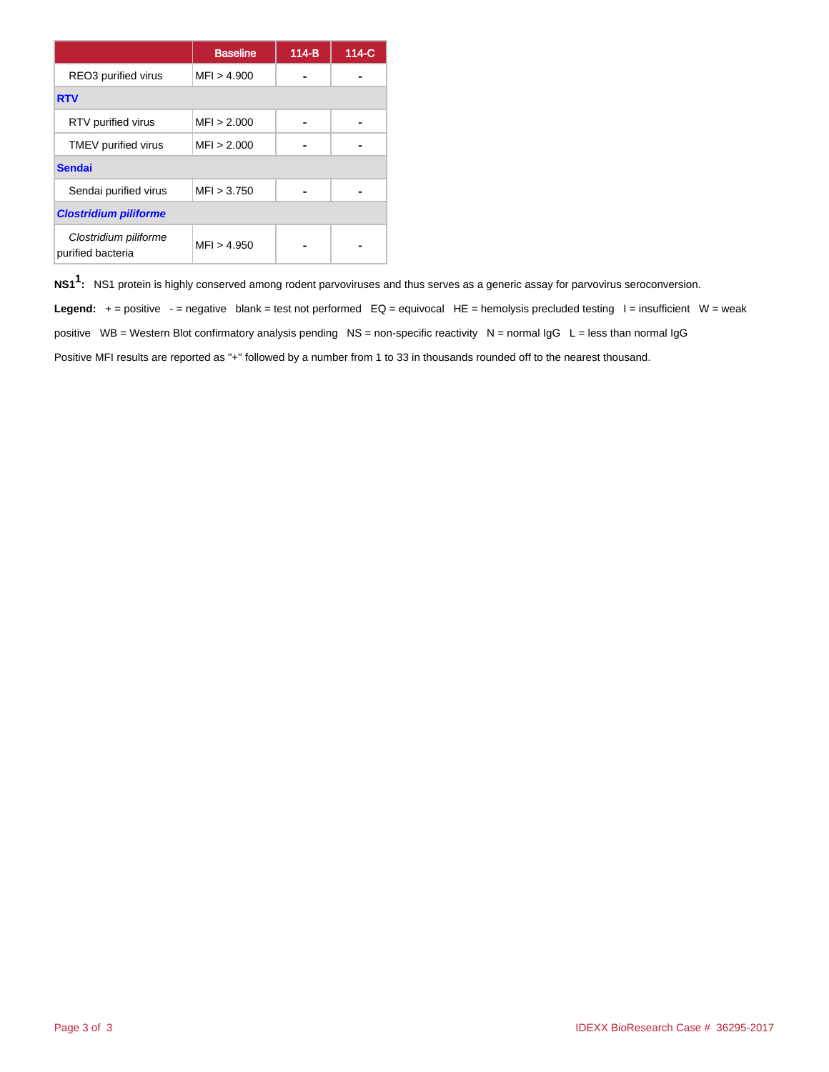|                                            | <b>Baseline</b> | $114-B$ | 114-C |
|--------------------------------------------|-----------------|---------|-------|
| REO3 purified virus                        | MFI > 4.900     |         |       |
| <b>RTV</b>                                 |                 |         |       |
| RTV purified virus                         | MFI > 2.000     |         |       |
| TMEV purified virus                        | MFI > 2.000     |         |       |
| <b>Sendai</b>                              |                 |         |       |
| Sendai purified virus                      | MF1 > 3.750     |         |       |
| <b>Clostridium piliforme</b>               |                 |         |       |
| Clostridium piliforme<br>purified bacteria | MFI > 4.950     |         |       |

**NS11 :** NS1 protein is highly conserved among rodent parvoviruses and thus serves as a generic assay for parvovirus seroconversion.

Legend: + = positive - = negative blank = test not performed EQ = equivocal HE = hemolysis precluded testing I = insufficient W = weak positive WB = Western Blot confirmatory analysis pending NS = non-specific reactivity N = normal IgG L = less than normal IgG Positive MFI results are reported as "+" followed by a number from 1 to 33 in thousands rounded off to the nearest thousand.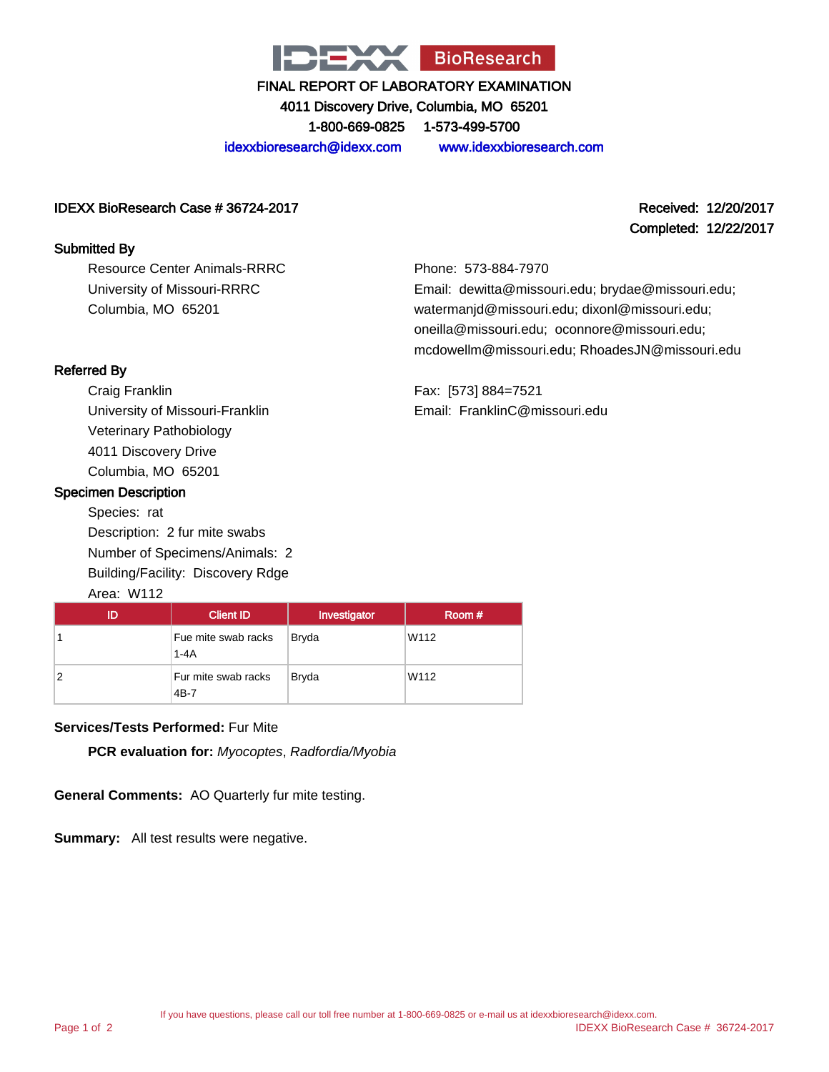

4011 Discovery Drive, Columbia, MO 65201 1-800-669-0825 1-573-499-5700

idexxbioresearch@idexx.com www.idexxbioresearch.com

#### IDEXX BioResearch Case # 36724-2017 Received: 12/20/2017

#### Submitted By

Resource Center Animals-RRRC University of Missouri-RRRC Columbia, MO 65201

# Completed: 12/22/2017

Phone: 573-884-7970 Email: dewitta@missouri.edu; brydae@missouri.edu; watermanjd@missouri.edu; dixonl@missouri.edu; oneilla@missouri.edu; oconnore@missouri.edu; mcdowellm@missouri.edu; RhoadesJN@missouri.edu

Fax: [573] 884=7521 Email: FranklinC@missouri.edu

## Referred By

Craig Franklin University of Missouri-Franklin Veterinary Pathobiology 4011 Discovery Drive Columbia, MO 65201

#### Specimen Description

Species: rat Description: 2 fur mite swabs Number of Specimens/Animals: 2 Building/Facility: Discovery Rdge

## Area: W112

| ID | <b>Client ID</b>                | Investigator | Room # |
|----|---------------------------------|--------------|--------|
|    | Fue mite swab racks<br>$1 - 4A$ | <b>Bryda</b> | W112   |
| 2  | Fur mite swab racks<br>4B-7     | <b>Bryda</b> | W112   |

## **Services/Tests Performed:** Fur Mite

**PCR evaluation for:** Myocoptes, Radfordia/Myobia

**General Comments:** AO Quarterly fur mite testing.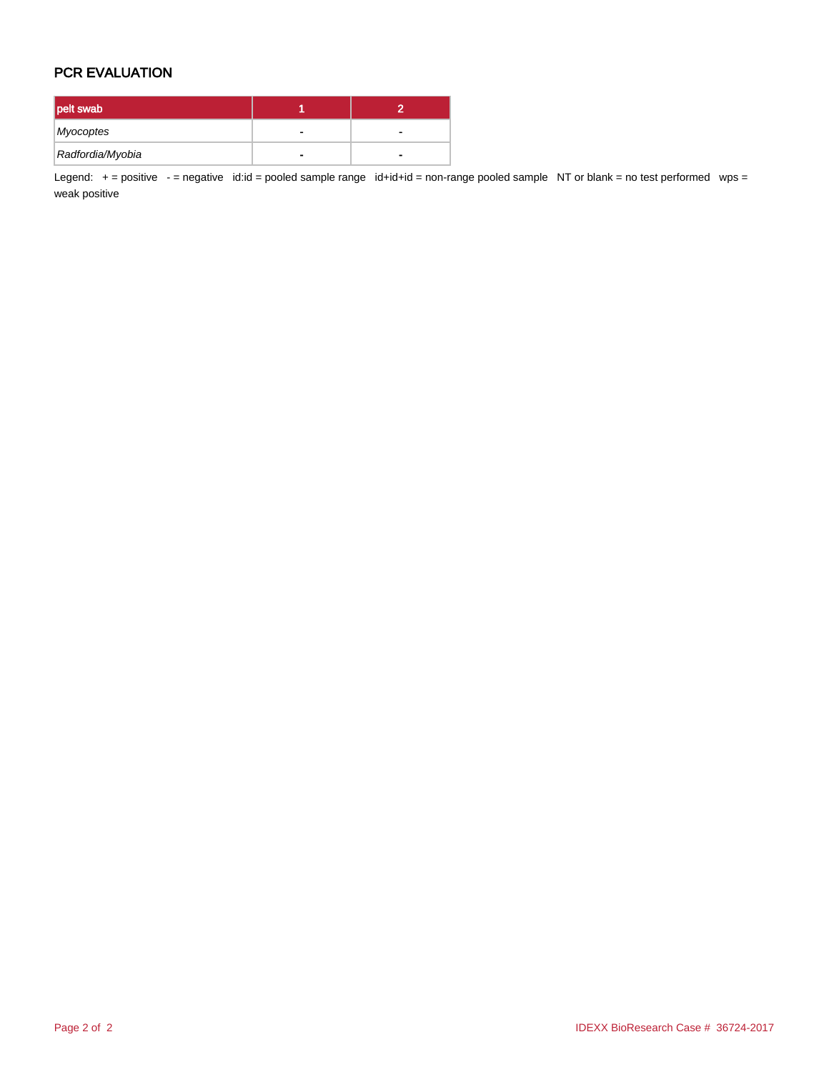## PCR EVALUATION

| pelt swab        |  |
|------------------|--|
| Myocoptes        |  |
| Radfordia/Myobia |  |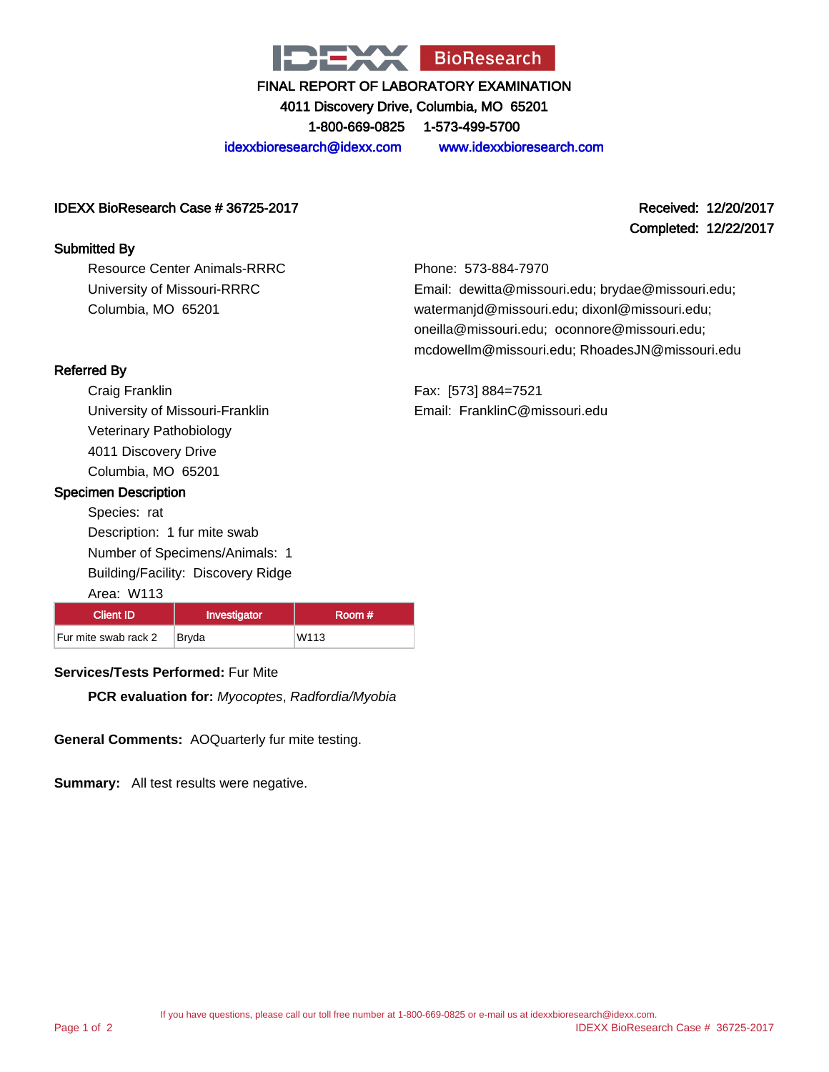

4011 Discovery Drive, Columbia, MO 65201 1-800-669-0825 1-573-499-5700

idexxbioresearch@idexx.com www.idexxbioresearch.com

#### IDEXX BioResearch Case # 36725-2017 Received: 12/20/2017

#### Submitted By

Resource Center Animals-RRRC University of Missouri-RRRC Columbia, MO 65201

Completed: 12/22/2017

Phone: 573-884-7970 Email: dewitta@missouri.edu; brydae@missouri.edu; watermanjd@missouri.edu; dixonl@missouri.edu; oneilla@missouri.edu; oconnore@missouri.edu; mcdowellm@missouri.edu; RhoadesJN@missouri.edu

Fax: [573] 884=7521 Email: FranklinC@missouri.edu

#### Referred By

Craig Franklin University of Missouri-Franklin Veterinary Pathobiology 4011 Discovery Drive Columbia, MO 65201

#### Specimen Description

Species: rat Description: 1 fur mite swab Number of Specimens/Animals: 1 Building/Facility: Discovery Ridge

Area: W113 Client ID | Investigator | Room # Fur mite swab rack 2 Bryda W113

## **Services/Tests Performed:** Fur Mite

**PCR evaluation for:** Myocoptes, Radfordia/Myobia

**General Comments:** AOQuarterly fur mite testing.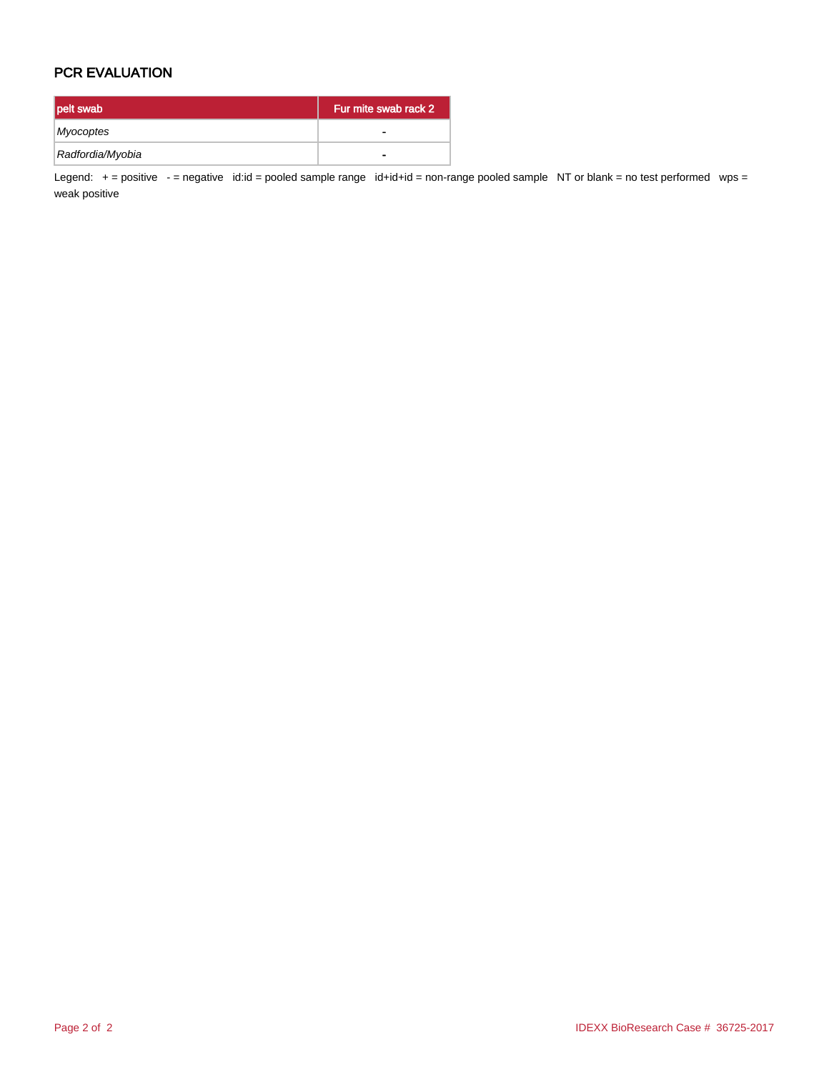## PCR EVALUATION

| pelt swab        | Fur mite swab rack 2 |
|------------------|----------------------|
| Myocoptes        |                      |
| Radfordia/Myobia | -                    |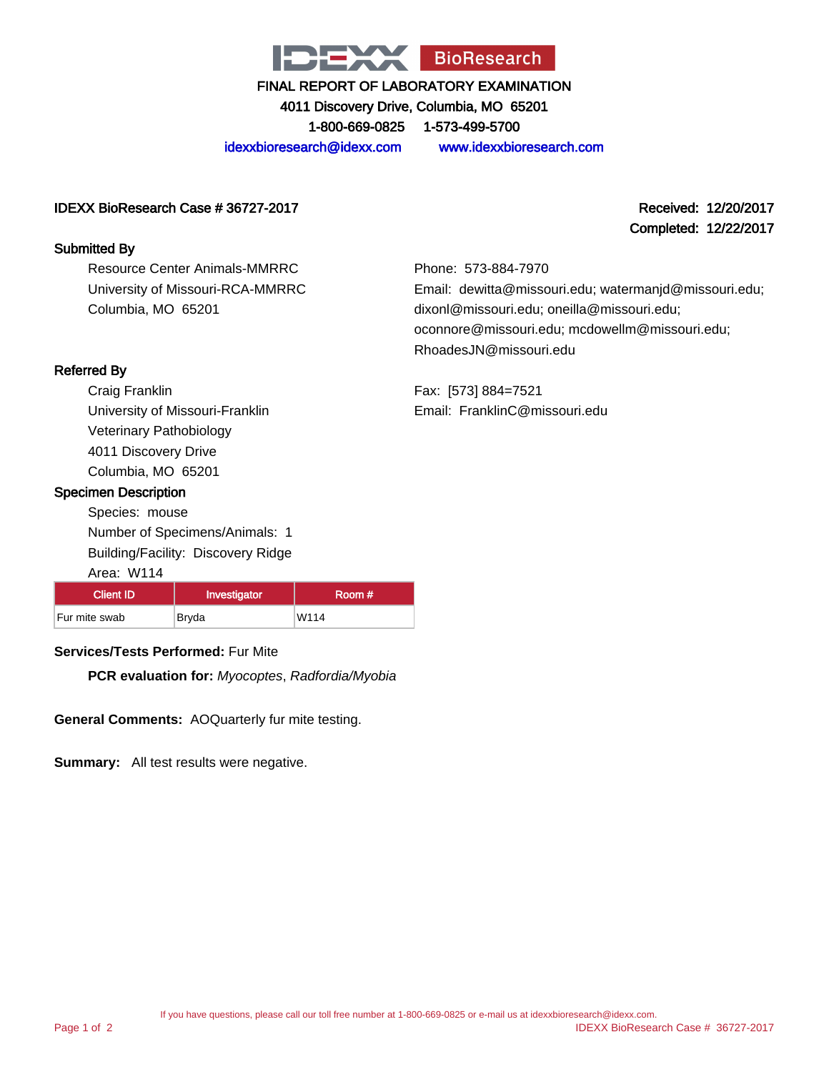

4011 Discovery Drive, Columbia, MO 65201 1-800-669-0825 1-573-499-5700

idexxbioresearch@idexx.com www.idexxbioresearch.com

#### IDEXX BioResearch Case # 36727-2017 Received: 12/20/2017

#### Submitted By

Resource Center Animals-MMRRC University of Missouri-RCA-MMRRC Columbia, MO 65201

Completed: 12/22/2017

Phone: 573-884-7970 Email: dewitta@missouri.edu; watermanjd@missouri.edu; dixonl@missouri.edu; oneilla@missouri.edu; oconnore@missouri.edu; mcdowellm@missouri.edu; RhoadesJN@missouri.edu

Fax: [573] 884=7521 Email: FranklinC@missouri.edu

#### Referred By

Craig Franklin University of Missouri-Franklin Veterinary Pathobiology 4011 Discovery Drive Columbia, MO 65201

#### Specimen Description

Species: mouse Number of Specimens/Animals: 1 Building/Facility: Discovery Ridge

| Area: W114 |
|------------|
|            |

| <b>Client ID</b> | Investigator | Room # |
|------------------|--------------|--------|
| Fur mite swab    | Bryda        | W114   |

## **Services/Tests Performed:** Fur Mite

**PCR evaluation for:** Myocoptes, Radfordia/Myobia

**General Comments:** AOQuarterly fur mite testing.